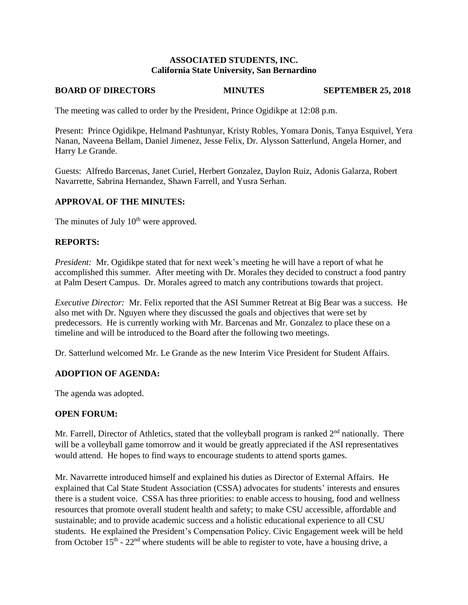## **ASSOCIATED STUDENTS, INC. California State University, San Bernardino**

# **BOARD OF DIRECTORS MINUTES SEPTEMBER 25, 2018**

The meeting was called to order by the President, Prince Ogidikpe at 12:08 p.m.

Present: Prince Ogidikpe, Helmand Pashtunyar, Kristy Robles, Yomara Donis, Tanya Esquivel, Yera Nanan, Naveena Bellam, Daniel Jimenez, Jesse Felix, Dr. Alysson Satterlund, Angela Horner, and Harry Le Grande.

Guests: Alfredo Barcenas, Janet Curiel, Herbert Gonzalez, Daylon Ruiz, Adonis Galarza, Robert Navarrette, Sabrina Hernandez, Shawn Farrell, and Yusra Serhan.

### **APPROVAL OF THE MINUTES:**

The minutes of July  $10^{th}$  were approved.

### **REPORTS:**

*President:* Mr. Ogidikpe stated that for next week's meeting he will have a report of what he accomplished this summer. After meeting with Dr. Morales they decided to construct a food pantry at Palm Desert Campus. Dr. Morales agreed to match any contributions towards that project.

*Executive Director:* Mr. Felix reported that the ASI Summer Retreat at Big Bear was a success. He also met with Dr. Nguyen where they discussed the goals and objectives that were set by predecessors. He is currently working with Mr. Barcenas and Mr. Gonzalez to place these on a timeline and will be introduced to the Board after the following two meetings.

Dr. Satterlund welcomed Mr. Le Grande as the new Interim Vice President for Student Affairs.

## **ADOPTION OF AGENDA:**

The agenda was adopted.

#### **OPEN FORUM:**

Mr. Farrell, Director of Athletics, stated that the volleyball program is ranked  $2<sup>nd</sup>$  nationally. There will be a volleyball game tomorrow and it would be greatly appreciated if the ASI representatives would attend. He hopes to find ways to encourage students to attend sports games.

Mr. Navarrette introduced himself and explained his duties as Director of External Affairs. He explained that Cal State Student Association (CSSA) advocates for students' interests and ensures there is a student voice. CSSA has three priorities: to enable access to housing, food and wellness resources that promote overall student health and safety; to make CSU accessible, affordable and sustainable; and to provide academic success and a holistic educational experience to all CSU students. He explained the President's Compensation Policy. Civic Engagement week will be held from October  $15<sup>th</sup>$  -  $22<sup>nd</sup>$  where students will be able to register to vote, have a housing drive, a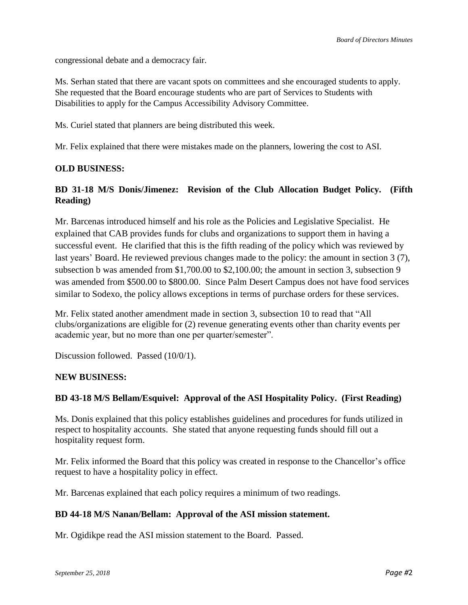congressional debate and a democracy fair.

Ms. Serhan stated that there are vacant spots on committees and she encouraged students to apply. She requested that the Board encourage students who are part of Services to Students with Disabilities to apply for the Campus Accessibility Advisory Committee.

Ms. Curiel stated that planners are being distributed this week.

Mr. Felix explained that there were mistakes made on the planners, lowering the cost to ASI.

## **OLD BUSINESS:**

# **BD 31-18 M/S Donis/Jimenez: Revision of the Club Allocation Budget Policy. (Fifth Reading)**

Mr. Barcenas introduced himself and his role as the Policies and Legislative Specialist. He explained that CAB provides funds for clubs and organizations to support them in having a successful event. He clarified that this is the fifth reading of the policy which was reviewed by last years' Board. He reviewed previous changes made to the policy: the amount in section 3 (7), subsection b was amended from \$1,700.00 to \$2,100.00; the amount in section 3, subsection 9 was amended from \$500.00 to \$800.00. Since Palm Desert Campus does not have food services similar to Sodexo, the policy allows exceptions in terms of purchase orders for these services.

Mr. Felix stated another amendment made in section 3, subsection 10 to read that "All clubs/organizations are eligible for (2) revenue generating events other than charity events per academic year, but no more than one per quarter/semester".

Discussion followed. Passed (10/0/1).

## **NEW BUSINESS:**

## **BD 43-18 M/S Bellam/Esquivel: Approval of the ASI Hospitality Policy. (First Reading)**

Ms. Donis explained that this policy establishes guidelines and procedures for funds utilized in respect to hospitality accounts. She stated that anyone requesting funds should fill out a hospitality request form.

Mr. Felix informed the Board that this policy was created in response to the Chancellor's office request to have a hospitality policy in effect.

Mr. Barcenas explained that each policy requires a minimum of two readings.

## **BD 44-18 M/S Nanan/Bellam: Approval of the ASI mission statement.**

Mr. Ogidikpe read the ASI mission statement to the Board. Passed.